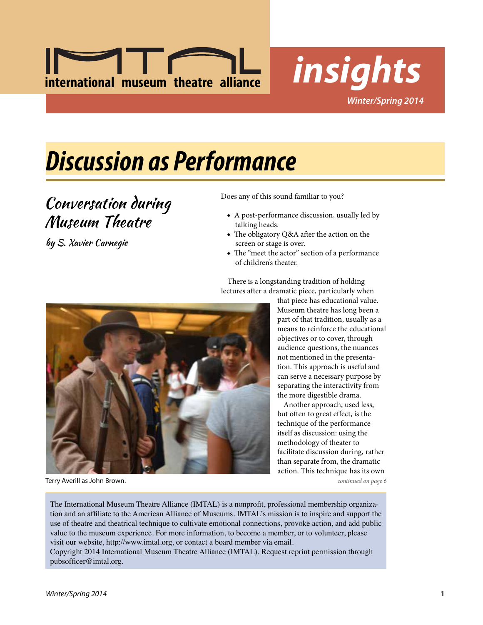



## *Discussion as Performance*

### Conversation during Museum Theatre

by S. Xavier Carnegie

Does any of this sound familiar to you?

- ◆ A post-performance discussion, usually led by talking heads.
- ◆ The obligatory Q&A after the action on the screen or stage is over.
- ◆ The "meet the actor" section of a performance of children's theater.

There is a longstanding tradition of holding lectures after a dramatic piece, particularly when



Terry Averill as John Brown. *continued on page 6*

that piece has educational value. Museum theatre has long been a part of that tradition, usually as a means to reinforce the educational objectives or to cover, through audience questions, the nuances not mentioned in the presentation. This approach is useful and can serve a necessary purpose by separating the interactivity from the more digestible drama.

Another approach, used less, but often to great effect, is the technique of the performance itself as discussion: using the methodology of theater to facilitate discussion during, rather than separate from, the dramatic action. This technique has its own

The International Museum Theatre Alliance (IMTAL) is a nonprofit, professional membership organization and an affiliate to the American Alliance of Museums. IMTAL's mission is to inspire and support the use of theatre and theatrical technique to cultivate emotional connections, provoke action, and add public value to the museum experience. For more information, to become a member, or to volunteer, please visit our website, http://www.imtal.org, or contact a board member via email.

Copyright 2014 International Museum Theatre Alliance (IMTAL). Request reprint permission through pubsofficer@imtal.org.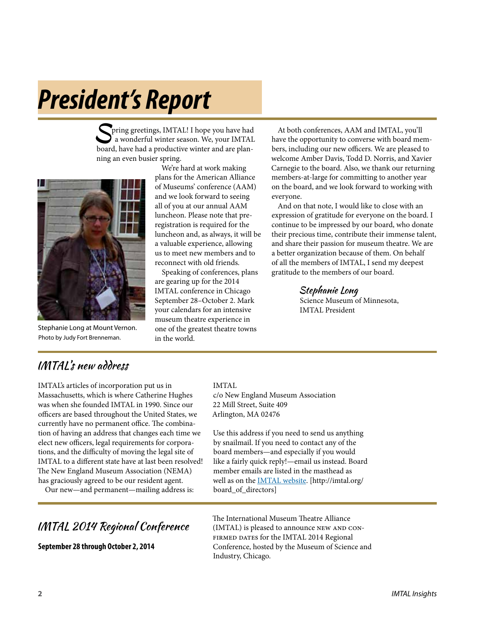## *President's Report*

Spring greetings, IMTAL! I hope you have had a wonderful winter season. We, your IMTAL board, have had a productive winter and are planning an even busier spring.



Stephanie Long at Mount Vernon. Photo by Judy Fort Brenneman.

We're hard at work making plans for the American Alliance of Museums' conference (AAM) and we look forward to seeing all of you at our annual AAM luncheon. Please note that preregistration is required for the luncheon and, as always, it will be a valuable experience, allowing us to meet new members and to reconnect with old friends.

Speaking of conferences, plans are gearing up for the 2014 IMTAL conference in Chicago September 28–October 2. Mark your calendars for an intensive museum theatre experience in one of the greatest theatre towns in the world.

At both conferences, AAM and IMTAL, you'll have the opportunity to converse with board members, including our new officers. We are pleased to welcome Amber Davis, Todd D. Norris, and Xavier Carnegie to the board. Also, we thank our returning members-at-large for committing to another year on the board, and we look forward to working with everyone.

And on that note, I would like to close with an expression of gratitude for everyone on the board. I continue to be impressed by our board, who donate their precious time, contribute their immense talent, and share their passion for museum theatre. We are a better organization because of them. On behalf of all the members of IMTAL, I send my deepest gratitude to the members of our board.

> Stephanie Long Science Museum of Minnesota, IMTAL President

### IMTAL's new address

IMTAL's articles of incorporation put us in Massachusetts, which is where Catherine Hughes was when she founded IMTAL in 1990. Since our officers are based throughout the United States, we currently have no permanent office. The combination of having an address that changes each time we elect new officers, legal requirements for corporations, and the difficulty of moving the legal site of IMTAL to a different state have at last been resolved! The New England Museum Association (NEMA) has graciously agreed to be our resident agent.

Our new—and permanent—mailing address is:

### IMTAL 2014 Regional Conference

**September 28 through October 2, 2014**

IMTAL

c/o New England Museum Association 22 Mill Street, Suite 409 Arlington, MA 02476

Use this address if you need to send us anything by snailmail. If you need to contact any of the board members—and especially if you would like a fairly quick reply!—email us instead. Board member emails are listed in the masthead as well as on the [IMTAL website](http://imtal.org/board_of_directors). [http://imtal.org/ board\_of\_directors]

The International Museum Theatre Alliance (IMTAL) is pleased to announce NEW AND CON-FIRMED DATES for the IMTAL 2014 Regional Conference, hosted by the Museum of Science and Industry, Chicago.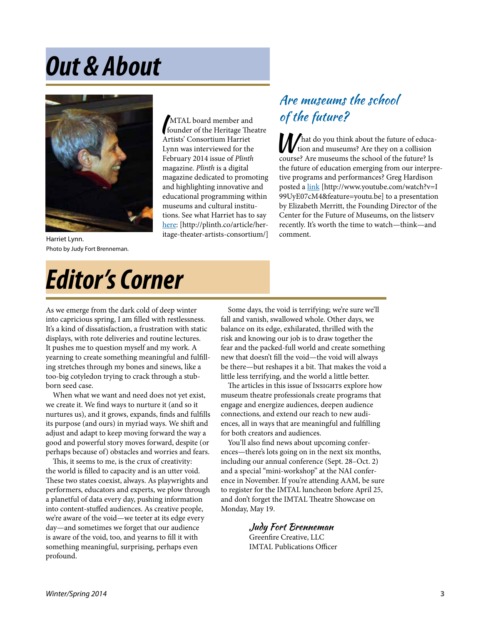## *Out & About*

MTAL board member and<br>founder of the Heritage Theatre Artists' Consortium Harriet Lynn was interviewed for the February 2014 issue of *Plinth* magazine. *Plinth* is a digital magazine dedicated to promoting and highlighting innovative and educational programming within museums and cultural institutions. See what Harriet has to say [here](http://plinth.co/article/heritage-theater-artists-consortium/): [http://plinth.co/article/heritage-theater-artists-consortium/]



Harriet Lynn. Photo by Judy Fort Brenneman.

## *Editor's Corner*

### Are museums the school of the future?

M hat do you think about the future of education and museums? Are they on a collision course? Are museums the school of the future? Is the future of education emerging from our interpretive programs and performances? Greg Hardison posted a [link](http://www.youtube.com/watch?v=I99UyE07cM4&feature=youtu.be) [http://www.youtube.com/watch?v=I 99UyE07cM4&feature=youtu.be] to a presentation by Elizabeth Merritt, the Founding Director of the Center for the Future of Museums, on the listserv recently. It's worth the time to watch—think—and comment.

As we emerge from the dark cold of deep winter into capricious spring, I am filled with restlessness. It's a kind of dissatisfaction, a frustration with static displays, with rote deliveries and routine lectures. It pushes me to question myself and my work. A yearning to create something meaningful and fulfilling stretches through my bones and sinews, like a too-big cotyledon trying to crack through a stubborn seed case.

When what we want and need does not yet exist, we create it. We find ways to nurture it (and so it nurtures us), and it grows, expands, finds and fulfills its purpose (and ours) in myriad ways. We shift and adjust and adapt to keep moving forward the way a good and powerful story moves forward, despite (or perhaps because of) obstacles and worries and fears.

This, it seems to me, is the crux of creativity: the world is filled to capacity and is an utter void. These two states coexist, always. As playwrights and performers, educators and experts, we plow through a planetful of data every day, pushing information into content-stuffed audiences. As creative people, we're aware of the void—we teeter at its edge every day—and sometimes we forget that our audience is aware of the void, too, and yearns to fill it with something meaningful, surprising, perhaps even profound.

Some days, the void is terrifying; we're sure we'll fall and vanish, swallowed whole. Other days, we balance on its edge, exhilarated, thrilled with the risk and knowing our job is to draw together the fear and the packed-full world and create something new that doesn't fill the void—the void will always be there—but reshapes it a bit. That makes the void a little less terrifying, and the world a little better.

The articles in this issue of Insights explore how museum theatre professionals create programs that engage and energize audiences, deepen audience connections, and extend our reach to new audiences, all in ways that are meaningful and fulfilling for both creators and audiences.

You'll also find news about upcoming conferences—there's lots going on in the next six months, including our annual conference (Sept. 28–Oct. 2) and a special "mini-workshop" at the NAI conference in November. If you're attending AAM, be sure to register for the IMTAL luncheon before April 25, and don't forget the IMTAL Theatre Showcase on Monday, May 19.

> Judy Fort Brenneman Greenfire Creative, LLC IMTAL Publications Officer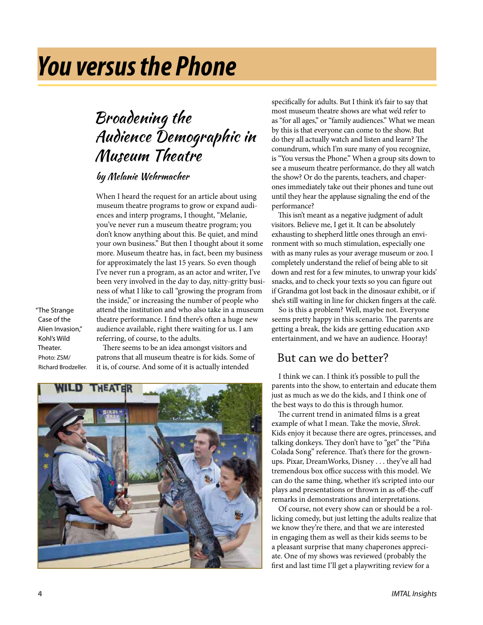## *You versus the Phone*

### Broadening the Audience Demographic in Museum Theatre

#### by Melanie Wehrmacher

When I heard the request for an article about using museum theatre programs to grow or expand audiences and interp programs, I thought, "Melanie, you've never run a museum theatre program; you don't know anything about this. Be quiet, and mind your own business." But then I thought about it some more. Museum theatre has, in fact, been my business for approximately the last 15 years. So even though I've never run a program, as an actor and writer, I've been very involved in the day to day, nitty-gritty business of what I like to call "growing the program from the inside," or increasing the number of people who attend the institution and who also take in a museum theatre performance. I find there's often a huge new audience available, right there waiting for us. I am referring, of course, to the adults.

"The Strange Case of the Alien Invasion," Kohl's Wild Theater. Photo: ZSM/ Richard Brodzeller.

There seems to be an idea amongst visitors and patrons that all museum theatre is for kids. Some of it is, of course. And some of it is actually intended



specifically for adults. But I think it's fair to say that most museum theatre shows are what we'd refer to as "for all ages," or "family audiences." What we mean by this is that everyone can come to the show. But do they all actually watch and listen and learn? The conundrum, which I'm sure many of you recognize, is "You versus the Phone." When a group sits down to see a museum theatre performance, do they all watch the show? Or do the parents, teachers, and chaperones immediately take out their phones and tune out until they hear the applause signaling the end of the performance?

This isn't meant as a negative judgment of adult visitors. Believe me, I get it. It can be absolutely exhausting to shepherd little ones through an environment with so much stimulation, especially one with as many rules as your average museum or zoo. I completely understand the relief of being able to sit down and rest for a few minutes, to unwrap your kids' snacks, and to check your texts so you can figure out if Grandma got lost back in the dinosaur exhibit, or if she's still waiting in line for chicken fingers at the café.

So is this a problem? Well, maybe not. Everyone seems pretty happy in this scenario. The parents are getting a break, the kids are getting education AND entertainment, and we have an audience. Hooray!

### But can we do better?

I think we can. I think it's possible to pull the parents into the show, to entertain and educate them just as much as we do the kids, and I think one of the best ways to do this is through humor.

The current trend in animated films is a great example of what I mean. Take the movie, *Shrek*. Kids enjoy it because there are ogres, princesses, and talking donkeys. They don't have to "get" the "Piña Colada Song" reference. That's there for the grownups. Pixar, DreamWorks, Disney . . . they've all had tremendous box office success with this model. We can do the same thing, whether it's scripted into our plays and presentations or thrown in as off-the-cuff remarks in demonstrations and interpretations.

Of course, not every show can or should be a rollicking comedy, but just letting the adults realize that we know they're there, and that we are interested in engaging them as well as their kids seems to be a pleasant surprise that many chaperones appreciate. One of my shows was reviewed (probably the first and last time I'll get a playwriting review for a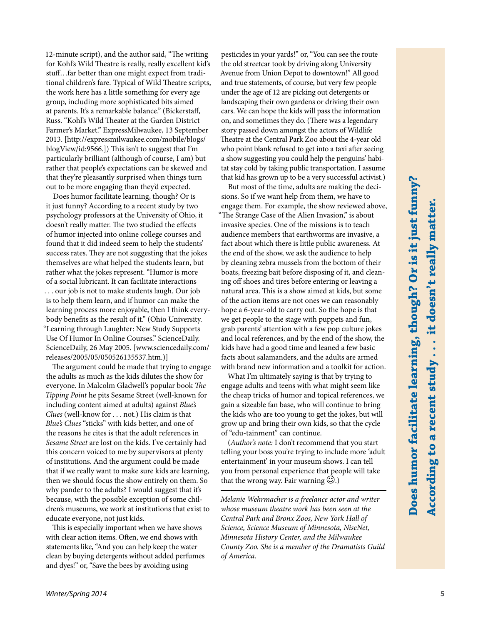*Winter/Spring 2014* **5**

12-minute script), and the author said, "The writing for Kohl's Wild Theatre is really, really excellent kid's stuff…far better than one might expect from traditional children's fare. Typical of Wild Theatre scripts, the work here has a little something for every age group, including more sophisticated bits aimed at parents. It's a remarkable balance." (Bickerstaff, Russ. "Kohl's Wild Theater at the Garden District Farmer's Market." ExpressMilwaukee, 13 September 2013. [http://expressmilwaukee.com/mobile/blogs/ blogView/id:9566.]) This isn't to suggest that I'm particularly brilliant (although of course, I am) but rather that people's expectations can be skewed and that they're pleasantly surprised when things turn out to be more engaging than they'd expected.

Does humor facilitate learning, though? Or is it just funny? According to a recent study by two psychology professors at the University of Ohio, it doesn't really matter. The two studied the effects of humor injected into online college courses and found that it did indeed seem to help the students' success rates. They are not suggesting that the jokes themselves are what helped the students learn, but rather what the jokes represent. "Humor is more of a social lubricant. It can facilitate interactions . . . our job is not to make students laugh. Our job is to help them learn, and if humor can make the learning process more enjoyable, then I think everybody benefits as the result of it." (Ohio University. "Learning through Laughter: New Study Supports Use Of Humor In Online Courses." ScienceDaily. ScienceDaily, 26 May 2005. [www.sciencedaily.com/ releases/2005/05/050526135537.htm.)]

The argument could be made that trying to engage the adults as much as the kids dilutes the show for everyone. In Malcolm Gladwell's popular book *The Tipping Point* he pits Sesame Street (well-known for including content aimed at adults) against *Blue's Clues* (well-know for . . . not.) His claim is that *Blue's Clues* "sticks" with kids better, and one of the reasons he cites is that the adult references in *Sesame Street* are lost on the kids. I've certainly had this concern voiced to me by supervisors at plenty of institutions. And the argument could be made that if we really want to make sure kids are learning, then we should focus the show entirely on them. So why pander to the adults? I would suggest that it's because, with the possible exception of some children's museums, we work at institutions that exist to educate everyone, not just kids.

This is especially important when we have shows with clear action items. Often, we end shows with statements like, "And you can help keep the water clean by buying detergents without added perfumes and dyes!" or, "Save the bees by avoiding using

pesticides in your yards!" or, "You can see the route the old streetcar took by driving along University Avenue from Union Depot to downtown!" All good and true statements, of course, but very few people under the age of 12 are picking out detergents or landscaping their own gardens or driving their own cars. We can hope the kids will pass the information on, and sometimes they do. (There was a legendary story passed down amongst the actors of Wildlife Theatre at the Central Park Zoo about the 4-year old who point blank refused to get into a taxi after seeing a show suggesting you could help the penguins' habitat stay cold by taking public transportation. I assume that kid has grown up to be a very successful activist.)

But most of the time, adults are making the decisions. So if we want help from them, we have to engage them. For example, the show reviewed above, "The Strange Case of the Alien Invasion," is about invasive species. One of the missions is to teach audience members that earthworms are invasive, a fact about which there is little public awareness. At the end of the show, we ask the audience to help by cleaning zebra mussels from the bottom of their boats, freezing bait before disposing of it, and cleaning off shoes and tires before entering or leaving a natural area. This is a show aimed at kids, but some of the action items are not ones we can reasonably hope a 6-year-old to carry out. So the hope is that we get people to the stage with puppets and fun, grab parents' attention with a few pop culture jokes and local references, and by the end of the show, the kids have had a good time and leaned a few basic facts about salamanders, and the adults are armed with brand new information and a toolkit for action.

What I'm ultimately saying is that by trying to engage adults and teens with what might seem like the cheap tricks of humor and topical references, we gain a sizeable fan base, who will continue to bring the kids who are too young to get the jokes, but will grow up and bring their own kids, so that the cycle of "edu-tainment" can continue.

(*Author's note:* I don't recommend that you start telling your boss you're trying to include more 'adult entertainment' in your museum shows. I can tell you from personal experience that people will take that the wrong way. Fair warning  $\odot$ .)

*Melanie Wehrmacher is a freelance actor and writer whose museum theatre work has been seen at the Central Park and Bronx Zoos, New York Hall of Science, Science Museum of Minnesota, NiseNet, Minnesota History Center, and the Milwaukee County Zoo. She is a member of the Dramatists Guild of America.*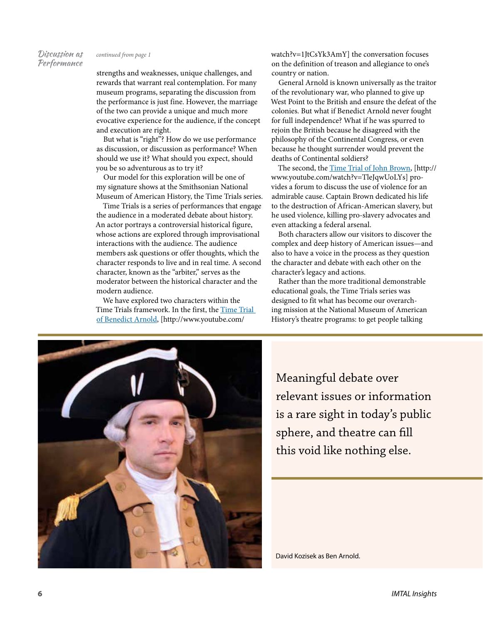#### Discussion as Performance

strengths and weaknesses, unique challenges, and rewards that warrant real contemplation. For many museum programs, separating the discussion from the performance is just fine. However, the marriage of the two can provide a unique and much more evocative experience for the audience, if the concept and execution are right.

But what is "right"? How do we use performance as discussion, or discussion as performance? When should we use it? What should you expect, should you be so adventurous as to try it?

Our model for this exploration will be one of my signature shows at the Smithsonian National Museum of American History, the Time Trials series.

Time Trials is a series of performances that engage the audience in a moderated debate about history. An actor portrays a controversial historical figure, whose actions are explored through improvisational interactions with the audience. The audience members ask questions or offer thoughts, which the character responds to live and in real time. A second character, known as the "arbiter," serves as the moderator between the historical character and the modern audience.

We have explored two characters within the Time Trials framework. In the first, the [Time Trial](http://www.youtube.com/watch?v=1JtCsYk3AmY)  [of Benedict Arnold](http://www.youtube.com/watch?v=1JtCsYk3AmY), [http://www.youtube.com/

*continued from page 1* watch?v=1JtCsYk3AmY] the conversation focuses on the definition of treason and allegiance to one's country or nation.

> General Arnold is known universally as the traitor of the revolutionary war, who planned to give up West Point to the British and ensure the defeat of the colonies. But what if Benedict Arnold never fought for full independence? What if he was spurred to rejoin the British because he disagreed with the philosophy of the Continental Congress, or even because he thought surrender would prevent the deaths of Continental soldiers?

> The second, the [Time Trial of John Brown](http://www.youtube.com/watch?v=TleJqwUoLYs), [http:// www.youtube.com/watch?v=TleJqwUoLYs] provides a forum to discuss the use of violence for an admirable cause. Captain Brown dedicated his life to the destruction of African-American slavery, but he used violence, killing pro-slavery advocates and even attacking a federal arsenal.

Both characters allow our visitors to discover the complex and deep history of American issues—and also to have a voice in the process as they question the character and debate with each other on the character's legacy and actions.

Rather than the more traditional demonstrable educational goals, the Time Trials series was designed to fit what has become our overarching mission at the National Museum of American History's theatre programs: to get people talking



Meaningful debate over relevant issues or information is a rare sight in today's public sphere, and theatre can fill this void like nothing else.

David Kozisek as Ben Arnold.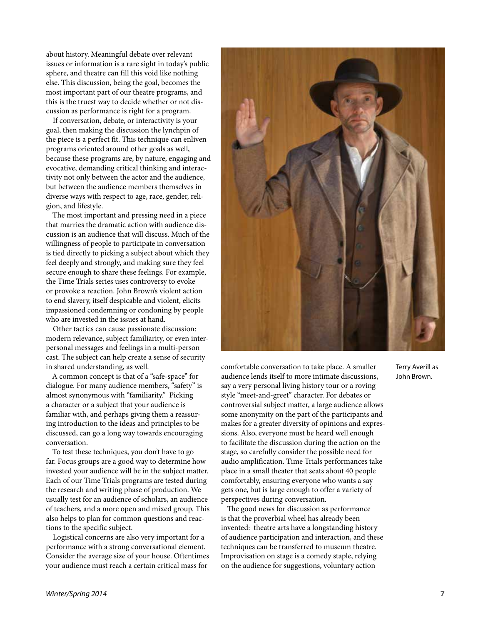about history. Meaningful debate over relevant issues or information is a rare sight in today's public sphere, and theatre can fill this void like nothing else. This discussion, being the goal, becomes the most important part of our theatre programs, and this is the truest way to decide whether or not discussion as performance is right for a program.

If conversation, debate, or interactivity is your goal, then making the discussion the lynchpin of the piece is a perfect fit. This technique can enliven programs oriented around other goals as well, because these programs are, by nature, engaging and evocative, demanding critical thinking and interactivity not only between the actor and the audience, but between the audience members themselves in diverse ways with respect to age, race, gender, religion, and lifestyle.

The most important and pressing need in a piece that marries the dramatic action with audience discussion is an audience that will discuss. Much of the willingness of people to participate in conversation is tied directly to picking a subject about which they feel deeply and strongly, and making sure they feel secure enough to share these feelings. For example, the Time Trials series uses controversy to evoke or provoke a reaction. John Brown's violent action to end slavery, itself despicable and violent, elicits impassioned condemning or condoning by people who are invested in the issues at hand.

Other tactics can cause passionate discussion: modern relevance, subject familiarity, or even interpersonal messages and feelings in a multi-person cast. The subject can help create a sense of security in shared understanding, as well.

A common concept is that of a "safe-space" for dialogue. For many audience members, "safety" is almost synonymous with "familiarity." Picking a character or a subject that your audience is familiar with, and perhaps giving them a reassuring introduction to the ideas and principles to be discussed, can go a long way towards encouraging conversation.

To test these techniques, you don't have to go far. Focus groups are a good way to determine how invested your audience will be in the subject matter. Each of our Time Trials programs are tested during the research and writing phase of production. We usually test for an audience of scholars, an audience of teachers, and a more open and mixed group. This also helps to plan for common questions and reactions to the specific subject.

Logistical concerns are also very important for a performance with a strong conversational element. Consider the average size of your house. Oftentimes your audience must reach a certain critical mass for



comfortable conversation to take place. A smaller audience lends itself to more intimate discussions, say a very personal living history tour or a roving style "meet-and-greet" character. For debates or controversial subject matter, a large audience allows some anonymity on the part of the participants and makes for a greater diversity of opinions and expressions. Also, everyone must be heard well enough to facilitate the discussion during the action on the stage, so carefully consider the possible need for audio amplification. Time Trials performances take place in a small theater that seats about 40 people comfortably, ensuring everyone who wants a say gets one, but is large enough to offer a variety of perspectives during conversation.

The good news for discussion as performance is that the proverbial wheel has already been invented: theatre arts have a longstanding history of audience participation and interaction, and these techniques can be transferred to museum theatre. Improvisation on stage is a comedy staple, relying on the audience for suggestions, voluntary action

Terry Averill as John Brown.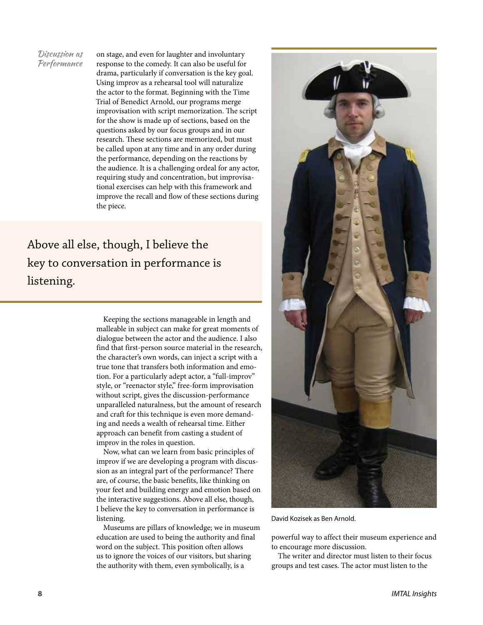Discussion as Performance

on stage, and even for laughter and involuntary response to the comedy. It can also be useful for drama, particularly if conversation is the key goal. Using improv as a rehearsal tool will naturalize the actor to the format. Beginning with the Time Trial of Benedict Arnold, our programs merge improvisation with script memorization. The script for the show is made up of sections, based on the questions asked by our focus groups and in our research. These sections are memorized, but must be called upon at any time and in any order during the performance, depending on the reactions by the audience. It is a challenging ordeal for any actor, requiring study and concentration, but improvisational exercises can help with this framework and improve the recall and flow of these sections during the piece.

Above all else, though, I believe the key to conversation in performance is listening.

> Keeping the sections manageable in length and malleable in subject can make for great moments of dialogue between the actor and the audience. I also find that first-person source material in the research, the character's own words, can inject a script with a true tone that transfers both information and emotion. For a particularly adept actor, a "full-improv" style, or "reenactor style," free-form improvisation without script, gives the discussion-performance unparalleled naturalness, but the amount of research and craft for this technique is even more demanding and needs a wealth of rehearsal time. Either approach can benefit from casting a student of improv in the roles in question.

> Now, what can we learn from basic principles of improv if we are developing a program with discussion as an integral part of the performance? There are, of course, the basic benefits, like thinking on your feet and building energy and emotion based on the interactive suggestions. Above all else, though, I believe the key to conversation in performance is listening.

> Museums are pillars of knowledge; we in museum education are used to being the authority and final word on the subject. This position often allows us to ignore the voices of our visitors, but sharing the authority with them, even symbolically, is a



David Kozisek as Ben Arnold.

powerful way to affect their museum experience and to encourage more discussion.

The writer and director must listen to their focus groups and test cases. The actor must listen to the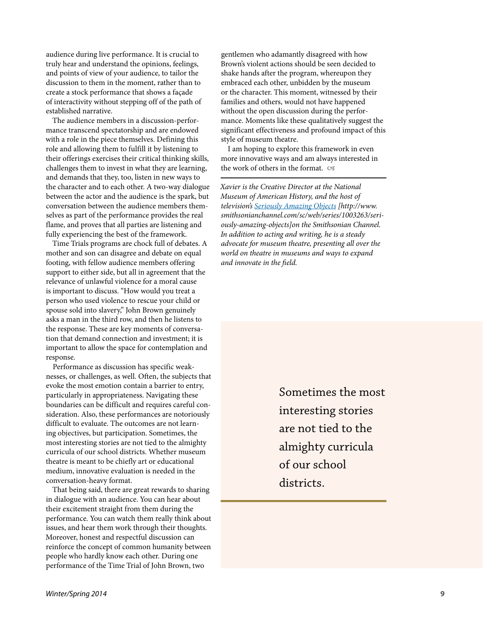audience during live performance. It is crucial to truly hear and understand the opinions, feelings, and points of view of your audience, to tailor the discussion to them in the moment, rather than to create a stock performance that shows a façade of interactivity without stepping off of the path of established narrative.

The audience members in a discussion-performance transcend spectatorship and are endowed with a role in the piece themselves. Defining this role and allowing them to fulfill it by listening to their offerings exercises their critical thinking skills, challenges them to invest in what they are learning, and demands that they, too, listen in new ways to the character and to each other. A two-way dialogue between the actor and the audience is the spark, but conversation between the audience members themselves as part of the performance provides the real flame, and proves that all parties are listening and fully experiencing the best of the framework.

Time Trials programs are chock full of debates. A mother and son can disagree and debate on equal footing, with fellow audience members offering support to either side, but all in agreement that the relevance of unlawful violence for a moral cause is important to discuss. "How would you treat a person who used violence to rescue your child or spouse sold into slavery," John Brown genuinely asks a man in the third row, and then he listens to the response. These are key moments of conversation that demand connection and investment; it is important to allow the space for contemplation and response.

Performance as discussion has specific weaknesses, or challenges, as well. Often, the subjects that evoke the most emotion contain a barrier to entry, particularly in appropriateness. Navigating these boundaries can be difficult and requires careful consideration. Also, these performances are notoriously difficult to evaluate. The outcomes are not learning objectives, but participation. Sometimes, the most interesting stories are not tied to the almighty curricula of our school districts. Whether museum theatre is meant to be chiefly art or educational medium, innovative evaluation is needed in the conversation-heavy format.

That being said, there are great rewards to sharing in dialogue with an audience. You can hear about their excitement straight from them during the performance. You can watch them really think about issues, and hear them work through their thoughts. Moreover, honest and respectful discussion can reinforce the concept of common humanity between people who hardly know each other. During one performance of the Time Trial of John Brown, two

gentlemen who adamantly disagreed with how Brown's violent actions should be seen decided to shake hands after the program, whereupon they embraced each other, unbidden by the museum or the character. This moment, witnessed by their families and others, would not have happened without the open discussion during the performance. Moments like these qualitatively suggest the significant effectiveness and profound impact of this style of museum theatre.

I am hoping to explore this framework in even more innovative ways and am always interested in the work of others in the format.

*Xavier is the Creative Director at the National Museum of American History, and the host of television's [Seriously Amazing Objects](http://www.smithsonianchannel.com/sc/web/series/1003263/seriously-amazing-objects) [http://www. smithsonianchannel.com/sc/web/series/1003263/seriously-amazing-objects]on the Smithsonian Channel. In addition to acting and writing, he is a steady advocate for museum theatre, presenting all over the world on theatre in museums and ways to expand and innovate in the field.*

> Sometimes the most interesting stories are not tied to the almighty curricula of our school districts.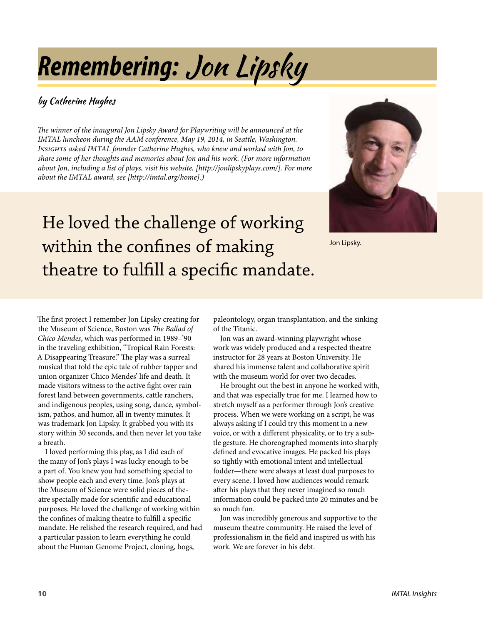# *Remembering:* Jon Lipsky

#### by Catherine Hughes

*The winner of the inaugural Jon Lipsky Award for Playwriting will be announced at the IMTAL luncheon during the AAM conference, May 19, 2014, in Seattle, Washington. Insights asked IMTAL founder Catherine Hughes, who knew and worked with Jon, to share some of her thoughts and memories about Jon and his work. (For more information about Jon, including a list of plays, visit his website, [http://jonlipskyplays.com/]. For more about the IMTAL award, see [http://imtal.org/home].)*

## He loved the challenge of working within the confines of making theatre to fulfill a specific mandate.



Jon Lipsky.

The first project I remember Jon Lipsky creating for the Museum of Science, Boston was *The Ballad of Chico Mendes*, which was performed in 1989–'90 in the traveling exhibition, "Tropical Rain Forests: A Disappearing Treasure." The play was a surreal musical that told the epic tale of rubber tapper and union organizer Chico Mendes' life and death. It made visitors witness to the active fight over rain forest land between governments, cattle ranchers, and indigenous peoples, using song, dance, symbolism, pathos, and humor, all in twenty minutes. It was trademark Jon Lipsky. It grabbed you with its story within 30 seconds, and then never let you take a breath.

I loved performing this play, as I did each of the many of Jon's plays I was lucky enough to be a part of. You knew you had something special to show people each and every time. Jon's plays at the Museum of Science were solid pieces of theatre specially made for scientific and educational purposes. He loved the challenge of working within the confines of making theatre to fulfill a specific mandate. He relished the research required, and had a particular passion to learn everything he could about the Human Genome Project, cloning, bogs,

paleontology, organ transplantation, and the sinking of the Titanic.

Jon was an award-winning playwright whose work was widely produced and a respected theatre instructor for 28 years at Boston University. He shared his immense talent and collaborative spirit with the museum world for over two decades.

He brought out the best in anyone he worked with, and that was especially true for me. I learned how to stretch myself as a performer through Jon's creative process. When we were working on a script, he was always asking if I could try this moment in a new voice, or with a different physicality, or to try a subtle gesture. He choreographed moments into sharply defined and evocative images. He packed his plays so tightly with emotional intent and intellectual fodder—there were always at least dual purposes to every scene. I loved how audiences would remark after his plays that they never imagined so much information could be packed into 20 minutes and be so much fun.

Jon was incredibly generous and supportive to the museum theatre community. He raised the level of professionalism in the field and inspired us with his work. We are forever in his debt.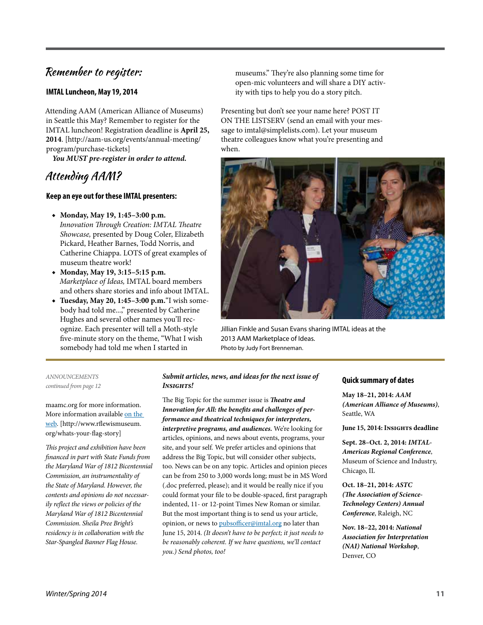#### Remember to register:

#### **IMTAL Luncheon, May 19, 2014**

Attending AAM (American Alliance of Museums) in Seattle this May? Remember to register for the IMTAL luncheon! Registration deadline is **April 25, 2014**. [http://aam-us.org/events/annual-meeting/ program/purchase-tickets]

*You MUST pre-register in order to attend.*

#### Attending AAM?

#### **Keep an eye out for these IMTAL presenters:**

- ◆ **Monday, May 19, 1:45–3:00 p.m.**
- *Innovation Through Creation: IMTAL Theatre Showcase,* presented by Doug Coler, Elizabeth Pickard, Heather Barnes, Todd Norris, and Catherine Chiappa. LOTS of great examples of museum theatre work!
- ◆ **Monday, May 19, 3:15–5:15 p.m.** *Marketplace of Ideas,* IMTAL board members and others share stories and info about IMTAL.
- ◆ **Tuesday, May 20, 1:45–3:00 p.m.**"I wish somebody had told me...," presented by Catherine Hughes and several other names you'll recognize. Each presenter will tell a Moth-style five-minute story on the theme, "What I wish somebody had told me when I started in

museums." They're also planning some time for open-mic volunteers and will share a DIY activity with tips to help you do a story pitch.

Presenting but don't see your name here? POST IT ON THE LISTSERV (send an email with your message to imtal@simplelists.com). Let your museum theatre colleagues know what you're presenting and when.



Jillian Finkle and Susan Evans sharing IMTAL ideas at the 2013 AAM Marketplace of Ideas. Photo by Judy Fort Brenneman.

*ANNOUNCEMENTS continued from page 12*

maamc.org for more information. More information available [on the](http://www.rflewismuseum.org/whats-your-flag-story)  [web](http://www.rflewismuseum.org/whats-your-flag-story). [http://www.rflewismuseum. org/whats-your-flag-story]

*This project and exhibition have been financed in part with State Funds from the Maryland War of 1812 Bicentennial Commission, an instrumentality of the State of Maryland. However, the contents and opinions do not necessarily reflect the views or policies of the Maryland War of 1812 Bicentennial Commission. Sheila Pree Bright's residency is in collaboration with the Star-Spangled Banner Flag House.*

#### *Submit articles, news, and ideas for the next issue of Insights!*

The Big Topic for the summer issue is *Theatre and Innovation for All: the benefits and challenges of performance and theatrical techniques for interpreters, interpretive programs, and audiences.* We're looking for articles, opinions, and news about events, programs, your site, and your self. We prefer articles and opinions that address the Big Topic, but will consider other subjects, too. News can be on any topic. Articles and opinion pieces can be from 250 to 3,000 words long; must be in MS Word (.doc preferred, please); and it would be really nice if you could format your file to be double-spaced, first paragraph indented, 11- or 12-point Times New Roman or similar. But the most important thing is to send us your article, opinion, or news to [pubsofficer@imtal.org](mailto:pubsofficer@imtal.org) no later than June 15, 2014. *(It doesn't have to be perfect; it just needs to be reasonably coherent. If we have questions, we'll contact you.) Send photos, too!*

#### **Quick summary of dates**

**May 18–21, 2014:** *AAM (American Alliance of Museums)*, Seattle, WA

**June 15, 2014: Insights deadline**

**Sept. 28–Oct. 2, 2014:** *IMTAL-Americas Regional Conference*, Museum of Science and Industry, Chicago, IL

**Oct. 18–21, 2014:** *ASTC (The Association of Science-Technology Centers) Annual Conference*, Raleigh, NC

**Nov. 18–22, 2014:** *National Association for Interpretation (NAI) National Workshop*, Denver, CO